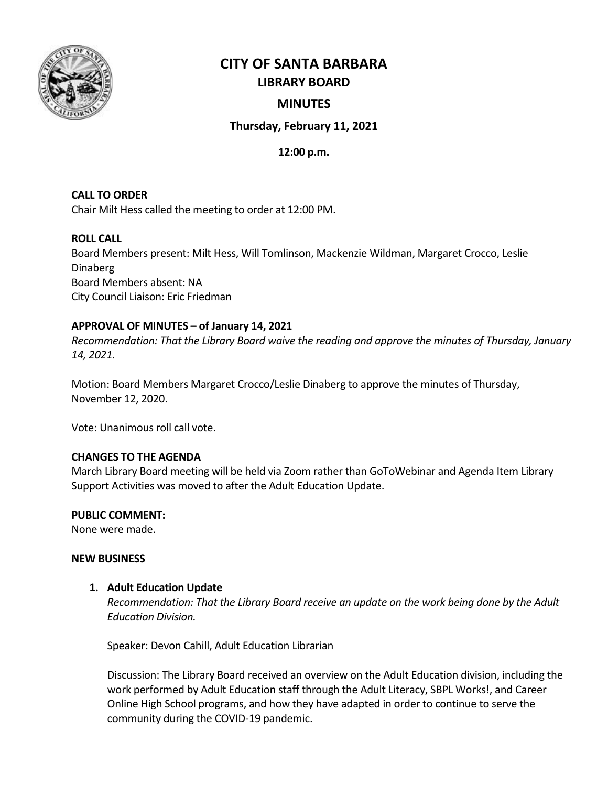

# **CITY OF SANTA BARBARA LIBRARY BOARD**

# **MINUTES**

# **Thursday, February 11, 2021**

## **12:00 p.m.**

# **CALL TO ORDER**

Chair Milt Hess called the meeting to order at 12:00 PM.

### **ROLL CALL**

Board Members present: Milt Hess, Will Tomlinson, Mackenzie Wildman, Margaret Crocco, Leslie Dinaberg Board Members absent: NA City Council Liaison: Eric Friedman

## **APPROVAL OF MINUTES – of January 14, 2021**

*Recommendation: That the Library Board waive the reading and approve the minutes of Thursday, January 14, 2021.*

Motion: Board Members Margaret Crocco/Leslie Dinaberg to approve the minutes of Thursday, November 12, 2020.

Vote: Unanimous roll call vote.

## **CHANGES TO THE AGENDA**

March Library Board meeting will be held via Zoom rather than GoToWebinar and Agenda Item Library Support Activities was moved to after the Adult Education Update.

#### **PUBLIC COMMENT:**

None were made.

#### **NEW BUSINESS**

## **1. Adult Education Update**

*Recommendation: That the Library Board receive an update on the work being done by the Adult Education Division.* 

Speaker: Devon Cahill, Adult Education Librarian

Discussion: The Library Board received an overview on the Adult Education division, including the work performed by Adult Education staff through the Adult Literacy, SBPL Works!, and Career Online High School programs, and how they have adapted in order to continue to serve the community during the COVID-19 pandemic.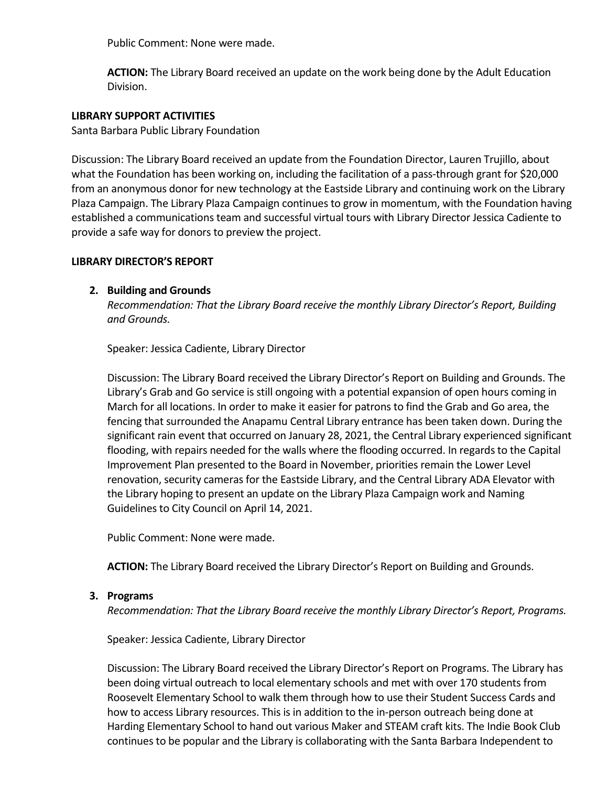Public Comment: None were made.

**ACTION:** The Library Board received an update on the work being done by the Adult Education Division.

#### **LIBRARY SUPPORT ACTIVITIES**

Santa Barbara Public Library Foundation

Discussion: The Library Board received an update from the Foundation Director, Lauren Trujillo, about what the Foundation has been working on, including the facilitation of a pass-through grant for \$20,000 from an anonymous donor for new technology at the Eastside Library and continuing work on the Library Plaza Campaign. The Library Plaza Campaign continues to grow in momentum, with the Foundation having established a communications team and successful virtual tours with Library Director Jessica Cadiente to provide a safe way for donors to preview the project.

#### **LIBRARY DIRECTOR'S REPORT**

#### **2. Building and Grounds**

*Recommendation: That the Library Board receive the monthly Library Director's Report, Building and Grounds.*

Speaker: Jessica Cadiente, Library Director

Discussion: The Library Board received the Library Director's Report on Building and Grounds. The Library's Grab and Go service is still ongoing with a potential expansion of open hours coming in March for all locations. In order to make it easier for patrons to find the Grab and Go area, the fencing that surrounded the Anapamu Central Library entrance has been taken down. During the significant rain event that occurred on January 28, 2021, the Central Library experienced significant flooding, with repairs needed for the walls where the flooding occurred. In regards to the Capital Improvement Plan presented to the Board in November, priorities remain the Lower Level renovation, security cameras for the Eastside Library, and the Central Library ADA Elevator with the Library hoping to present an update on the Library Plaza Campaign work and Naming Guidelines to City Council on April 14, 2021.

Public Comment: None were made.

**ACTION:** The Library Board received the Library Director's Report on Building and Grounds.

#### **3. Programs**

*Recommendation: That the Library Board receive the monthly Library Director's Report, Programs.*

Speaker: Jessica Cadiente, Library Director

Discussion: The Library Board received the Library Director's Report on Programs. The Library has been doing virtual outreach to local elementary schools and met with over 170 students from Roosevelt Elementary School to walk them through how to use their Student Success Cards and how to access Library resources. This is in addition to the in-person outreach being done at Harding Elementary School to hand out various Maker and STEAM craft kits. The Indie Book Club continues to be popular and the Library is collaborating with the Santa Barbara Independent to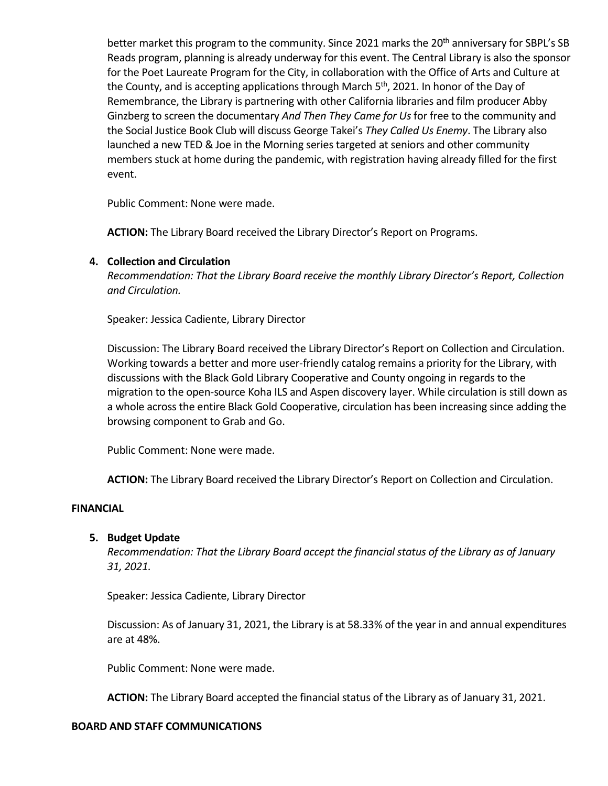better market this program to the community. Since 2021 marks the 20<sup>th</sup> anniversary for SBPL's SB Reads program, planning is already underway for this event. The Central Library is also the sponsor for the Poet Laureate Program for the City, in collaboration with the Office of Arts and Culture at the County, and is accepting applications through March  $5<sup>th</sup>$ , 2021. In honor of the Day of Remembrance, the Library is partnering with other California libraries and film producer Abby Ginzberg to screen the documentary *And Then They Came for Us* for free to the community and the Social Justice Book Club will discuss George Takei's *They Called Us Enemy*. The Library also launched a new TED & Joe in the Morning series targeted at seniors and other community members stuck at home during the pandemic, with registration having already filled for the first event.

Public Comment: None were made.

**ACTION:** The Library Board received the Library Director's Report on Programs.

#### **4. Collection and Circulation**

*Recommendation: That the Library Board receive the monthly Library Director's Report, Collection and Circulation.*

Speaker: Jessica Cadiente, Library Director

Discussion: The Library Board received the Library Director's Report on Collection and Circulation. Working towards a better and more user-friendly catalog remains a priority for the Library, with discussions with the Black Gold Library Cooperative and County ongoing in regards to the migration to the open-source Koha ILS and Aspen discovery layer. While circulation is still down as a whole across the entire Black Gold Cooperative, circulation has been increasing since adding the browsing component to Grab and Go.

Public Comment: None were made.

**ACTION:** The Library Board received the Library Director's Report on Collection and Circulation.

#### **FINANCIAL**

#### **5. Budget Update**

*Recommendation: That the Library Board accept the financial status of the Library as of January 31, 2021.* 

Speaker: Jessica Cadiente, Library Director

Discussion: As of January 31, 2021, the Library is at 58.33% of the year in and annual expenditures are at 48%.

Public Comment: None were made.

**ACTION:** The Library Board accepted the financial status of the Library as of January 31, 2021.

#### **BOARD AND STAFF COMMUNICATIONS**